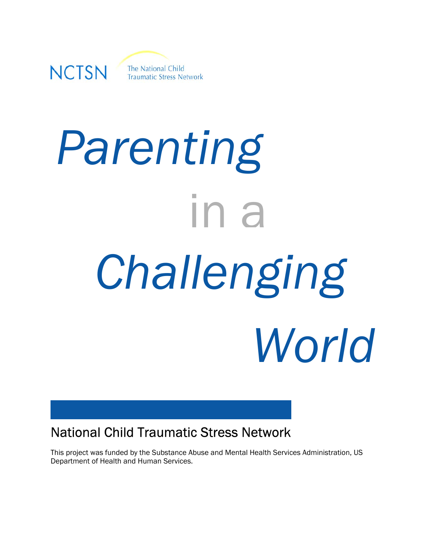

# *Challenging Parenting* in a *World*

# National Child Traumatic Stress Network

This project was funded by the Substance Abuse and Mental Health Services Administration, US Department of Health and Human Services.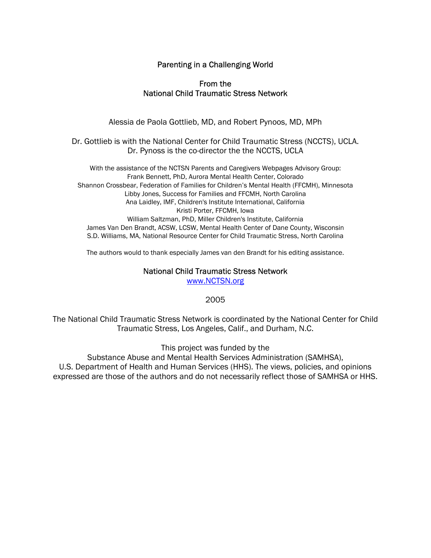# Parenting in a Challenging World

#### From the National Child Traumatic Stress Network

Alessia de Paola Gottlieb, MD, and Robert Pynoos, MD, MPh

Dr. Gottlieb is with the National Center for Child Traumatic Stress (NCCTS), UCLA. Dr. Pynoss is the co-director the the NCCTS, UCLA

With the assistance of the NCTSN Parents and Caregivers Webpages Advisory Group: Frank Bennett, PhD, Aurora Mental Health Center, Colorado Shannon Crossbear, Federation of Families for Children's Mental Health (FFCMH), Minnesota Libby Jones, Success for Families and FFCMH, North Carolina Ana Laidley, IMF, Children's Institute International, California Kristi Porter, FFCMH, Iowa William Saltzman, PhD, Miller Children's Institute, California James Van Den Brandt, ACSW, LCSW, Mental Health Center of Dane County, Wisconsin S.D. Williams, MA, National Resource Center for Child Traumatic Stress, North Carolina

The authors would to thank especially James van den Brandt for his editing assistance.

#### National Child Traumatic Stress Network

www.NCTSN.org

#### 2005

The National Child Traumatic Stress Network is coordinated by the National Center for Child Traumatic Stress, Los Angeles, Calif., and Durham, N.C.

This project was funded by the

Substance Abuse and Mental Health Services Administration (SAMHSA), U.S. Department of Health and Human Services (HHS). The views, policies, and opinions expressed are those of the authors and do not necessarily reflect those of SAMHSA or HHS.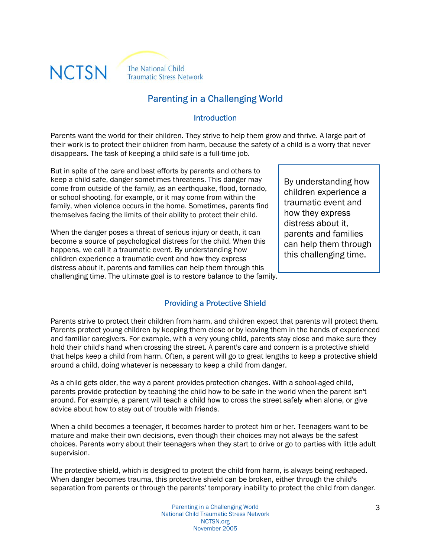

# Parenting in a Challenging World

#### **Introduction**

Parents want the world for their children. They strive to help them grow and thrive. A large part of their work is to protect their children from harm, because the safety of a child is a worry that never disappears. The task of keeping a child safe is a full-time job.

But in spite of the care and best efforts by parents and others to keep a child safe, danger sometimes threatens. This danger may come from outside of the family, as an earthquake, flood, tornado, or school shooting, for example, or it may come from within the family, when violence occurs in the home. Sometimes, parents find themselves facing the limits of their ability to protect their child.

When the danger poses a threat of serious injury or death, it can become a source of psychological distress for the child. When this happens, we call it a traumatic event. By understanding how children experience a traumatic event and how they express distress about it, parents and families can help them through this challenging time. The ultimate goal is to restore balance to the family.

By understanding how children experience a traumatic event and how they express distress about it, parents and families can help them through this challenging time.

## Providing a Protective Shield

Parents strive to protect their children from harm, and children expect that parents will protect them*.* Parents protect young children by keeping them close or by leaving them in the hands of experienced and familiar caregivers. For example, with a very young child, parents stay close and make sure they hold their child's hand when crossing the street. A parent's care and concern is a protective shield that helps keep a child from harm. Often, a parent will go to great lengths to keep a protective shield around a child, doing whatever is necessary to keep a child from danger.

As a child gets older, the way a parent provides protection changes. With a school-aged child, parents provide protection by teaching the child how to be safe in the world when the parent isn't around. For example, a parent will teach a child how to cross the street safely when alone, or give advice about how to stay out of trouble with friends.

When a child becomes a teenager, it becomes harder to protect him or her. Teenagers want to be mature and make their own decisions, even though their choices may not always be the safest choices. Parents worry about their teenagers when they start to drive or go to parties with little adult supervision.

The protective shield, which is designed to protect the child from harm, is always being reshaped. When danger becomes trauma, this protective shield can be broken, either through the child's separation from parents or through the parents' temporary inability to protect the child from danger.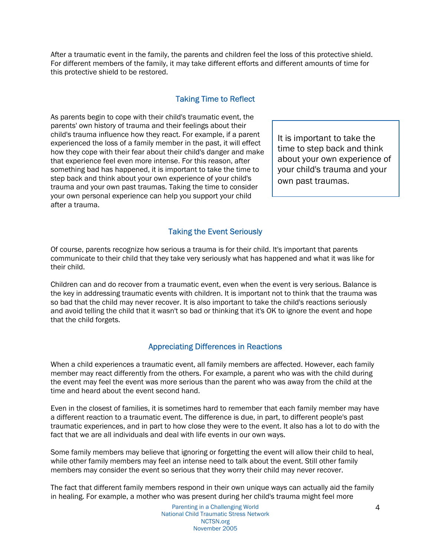After a traumatic event in the family, the parents and children feel the loss of this protective shield. For different members of the family, it may take different efforts and different amounts of time for this protective shield to be restored.

# Taking Time to Reflect

As parents begin to cope with their child's traumatic event, the parents' own history of trauma and their feelings about their child's trauma influence how they react. For example, if a parent experienced the loss of a family member in the past, it will effect how they cope with their fear about their child's danger and make that experience feel even more intense. For this reason, after something bad has happened, it is important to take the time to step back and think about your own experience of your child's trauma and your own past traumas. Taking the time to consider your own personal experience can help you support your child after a trauma.

It is important to take the time to step back and think about your own experience of your child's trauma and your own past traumas.

#### Taking the Event Seriously

Of course, parents recognize how serious a trauma is for their child. It's important that parents communicate to their child that they take very seriously what has happened and what it was like for their child.

Children can and do recover from a traumatic event, even when the event is very serious. Balance is the key in addressing traumatic events with children. It is important not to think that the trauma was so bad that the child may never recover. It is also important to take the child's reactions seriously and avoid telling the child that it wasn't so bad or thinking that it's OK to ignore the event and hope that the child forgets.

#### Appreciating Differences in Reactions

When a child experiences a traumatic event, all family members are affected. However, each family member may react differently from the others. For example, a parent who was with the child during the event may feel the event was more serious than the parent who was away from the child at the time and heard about the event second hand.

Even in the closest of families, it is sometimes hard to remember that each family member may have a different reaction to a traumatic event. The difference is due, in part, to different people's past traumatic experiences, and in part to how close they were to the event. It also has a lot to do with the fact that we are all individuals and deal with life events in our own ways.

Some family members may believe that ignoring or forgetting the event will allow their child to heal, while other family members may feel an intense need to talk about the event. Still other family members may consider the event so serious that they worry their child may never recover.

The fact that different family members respond in their own unique ways can actually aid the family in healing. For example, a mother who was present during her child's trauma might feel more

> Parenting in a Challenging World National Child Traumatic Stress Network NCTSN.org November 2005